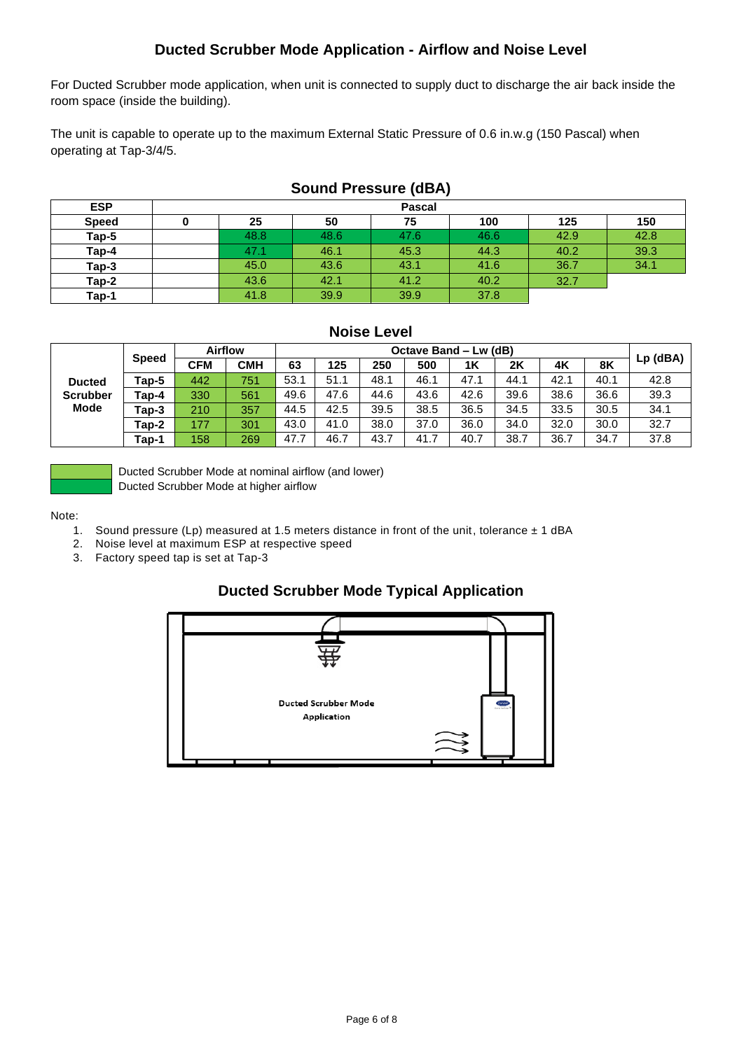# **Ducted Scrubber Mode Application - Airflow and Noise Level**

For Ducted Scrubber mode application, when unit is connected to supply duct to discharge the air back inside the room space (inside the building).

The unit is capable to operate up to the maximum External Static Pressure of 0.6 in.w.g (150 Pascal) when operating at Tap-3/4/5.

## **Sound Pressure (dBA)**

| <b>ESP</b>   | <b>Pascal</b> |      |      |      |      |      |      |  |  |  |
|--------------|---------------|------|------|------|------|------|------|--|--|--|
| <b>Speed</b> |               | 25   | 50   | 75   | 100  | 125  | 150  |  |  |  |
| Tap-5        |               | 48.8 | 48.6 | 47.6 | 46.6 | 42.9 | 42.8 |  |  |  |
| Tap-4        |               | 47.1 | 46.1 | 45.3 | 44.3 | 40.2 | 39.3 |  |  |  |
| $Tap-3$      |               | 45.0 | 43.6 | 43.1 | 41.6 | 36.7 | 34.1 |  |  |  |
| Tap-2        |               | 43.6 | 42.1 | 41.2 | 40.2 | 32.7 |      |  |  |  |
| Tap-1        |               | 41.8 | 39.9 | 39.9 | 37.8 |      |      |  |  |  |

### **Noise Level**

| <b>Ducted</b><br><b>Scrubber</b><br><b>Mode</b> | <b>Speed</b> | <b>Airflow</b> |            | Octave Band - Lw (dB) |      |      |      |           |      |      |      |          |
|-------------------------------------------------|--------------|----------------|------------|-----------------------|------|------|------|-----------|------|------|------|----------|
|                                                 |              | <b>CFM</b>     | <b>CMH</b> | 63                    | 125  | 250  | 500  | <b>1K</b> | 2K   | 4K   | 8K   | Lp (dBA) |
|                                                 | Tap-5        | 442            | 751        | 53.1                  | 51.1 | 48.1 | 46.1 | 47.1      | 44.1 | 42.1 | 40.1 | 42.8     |
|                                                 | Tap-4        | 330            | 561        | 49.6                  | 47.6 | 44.6 | 43.6 | 42.6      | 39.6 | 38.6 | 36.6 | 39.3     |
|                                                 | Tap-3        | 210            | 357        | 44.5                  | 42.5 | 39.5 | 38.5 | 36.5      | 34.5 | 33.5 | 30.5 | 34.1     |
|                                                 | Tap-2        | 177            | 301        | 43.0                  | 41.0 | 38.0 | 37.0 | 36.0      | 34.0 | 32.0 | 30.0 | 32.7     |
|                                                 | Tap-1        | 158            | 269        | 47.7                  | 46.7 | 43.7 | 41.7 | 40.7      | 38.7 | 36.7 | 34.7 | 37.8     |



Ducted Scrubber Mode at nominal airflow (and lower) Ducted Scrubber Mode at higher airflow

#### Note:

- 1. Sound pressure (Lp) measured at 1.5 meters distance in front of the unit, tolerance  $\pm$  1 dBA
- 2. Noise level at maximum ESP at respective speed
- 3. Factory speed tap is set at Tap-3

## **Ducted Scrubber Mode Typical Application**